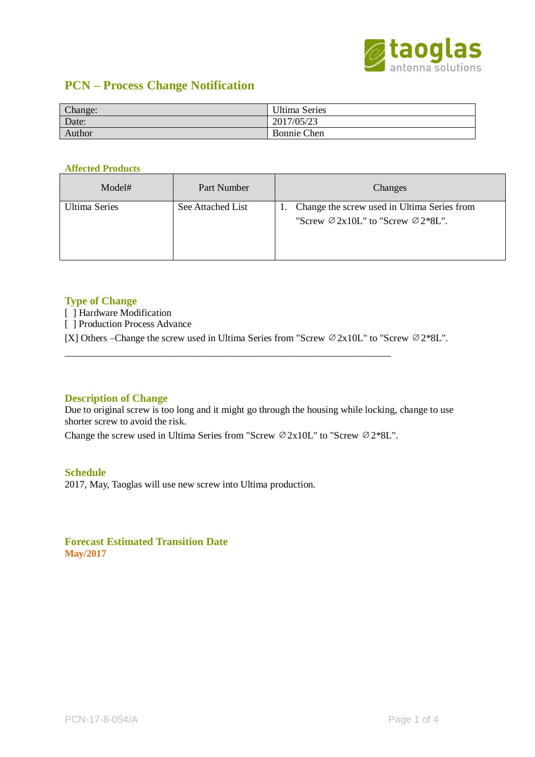

# **PCN – Process Change Notification**

| Change: | <b>Ultima Series</b> |
|---------|----------------------|
| Date:   | 2017/05/23           |
| Author  | <b>Bonnie Chen</b>   |

#### **Affected Products**

| Model#        | Part Number       | Changes                                                                                                      |
|---------------|-------------------|--------------------------------------------------------------------------------------------------------------|
| Ultima Series | See Attached List | 1. Change the screw used in Ultima Series from<br>"Screw $\varnothing$ 2x10L" to "Screw $\varnothing$ 2*8L". |

#### **Type of Change**

[ ] Hardware Modification

[ ] Production Process Advance

[X] Others –Change the screw used in Ultima Series from "Screw ∅2x10L" to "Screw ∅2\*8L".

## **Description of Change**

Due to original screw is too long and it might go through the housing while locking, change to use shorter screw to avoid the risk.

Change the screw used in Ultima Series from "Screw ∅2x10L" to "Screw ∅2\*8L".

\_\_\_\_\_\_\_\_\_\_\_\_\_\_\_\_\_\_\_\_\_\_\_\_\_\_\_\_\_\_\_\_\_\_\_\_\_\_\_\_\_\_\_\_\_\_\_\_\_\_\_\_\_\_\_\_\_\_\_\_\_\_\_\_\_\_

#### **Schedule**

2017, May, Taoglas will use new screw into Ultima production.

**Forecast Estimated Transition Date May/2017**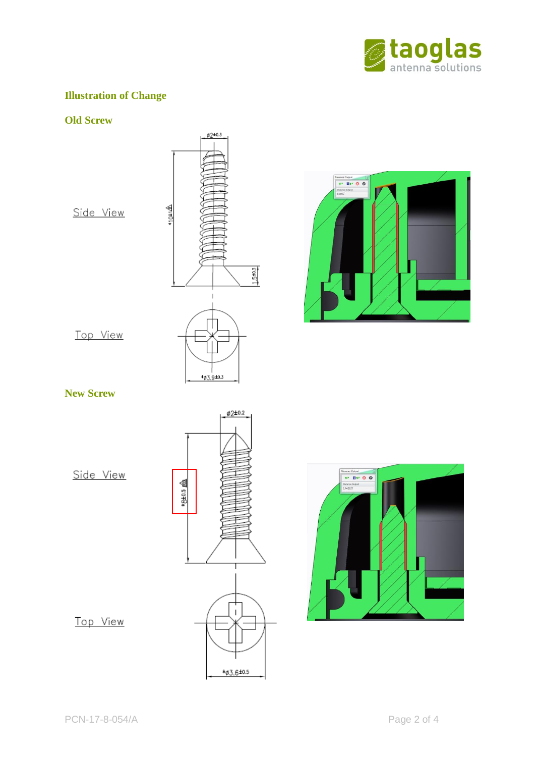

# **Illustration of Change**

## **Old Screw**





# **New Screw**

Side View





# Top View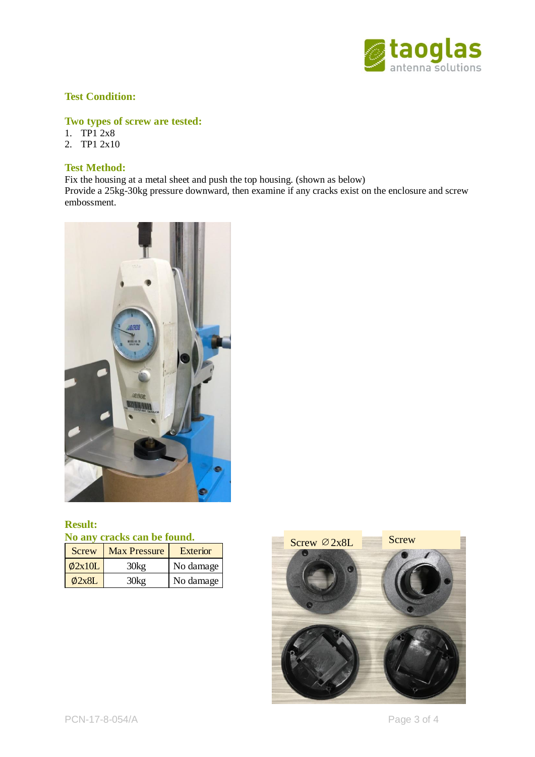

## **Test Condition:**

# **Two types of screw are tested:**

- 1. TP1 2x8
- 2. TP1 2x10

## **Test Method:**

Fix the housing at a metal sheet and push the top housing. (shown as below) Provide a 25kg-30kg pressure downward, then examine if any cracks exist on the enclosure and screw embossment.



#### **Result: No any cracks can be found.**

| Screw        | <b>Max Pressure</b> | Exterior  |
|--------------|---------------------|-----------|
| $\phi$ 2x10L | 30k <sub>2</sub>    | No damage |
| $\phi$ 2x8L  | 30ko                | No damage |